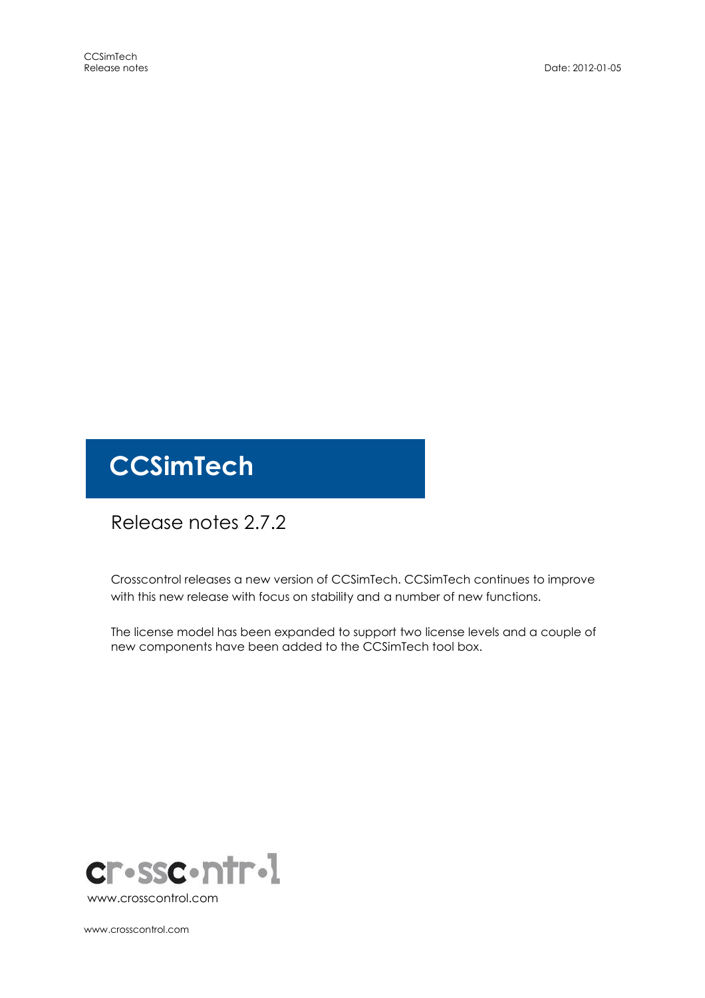# **CCSimTech**

## Release notes 2.7.2

Crosscontrol releases a new version of CCSimTech. CCSimTech continues to improve with this new release with focus on stability and a number of new functions.

The license model has been expanded to support two license levels and a couple of new components have been added to the CCSimTech tool box.



www.crosscontrol.com

www.crosscontrol.com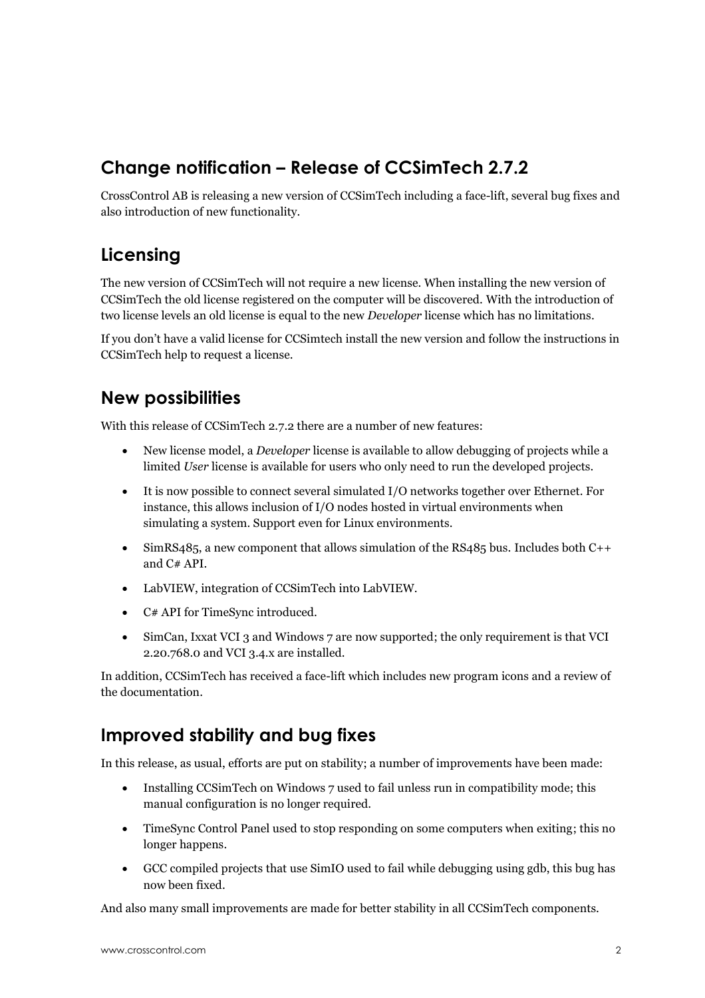### **Change notification – Release of CCSimTech 2.7.2**

CrossControl AB is releasing a new version of CCSimTech including a face-lift, several bug fixes and also introduction of new functionality.

#### **Licensing**

The new version of CCSimTech will not require a new license. When installing the new version of CCSimTech the old license registered on the computer will be discovered. With the introduction of two license levels an old license is equal to the new *Developer* license which has no limitations.

If you don't have a valid license for CCSimtech install the new version and follow the instructions in CCSimTech help to request a license.

#### **New possibilities**

With this release of CCSimTech 2.7.2 there are a number of new features:

- New license model, a *Developer* license is available to allow debugging of projects while a limited *User* license is available for users who only need to run the developed projects.
- It is now possible to connect several simulated I/O networks together over Ethernet. For instance, this allows inclusion of I/O nodes hosted in virtual environments when simulating a system. Support even for Linux environments.
- $\bullet$  SimRS485, a new component that allows simulation of the RS485 bus. Includes both C++ and C# API.
- LabVIEW, integration of CCSimTech into LabVIEW.
- C# API for TimeSync introduced.
- SimCan, Ixxat VCI 3 and Windows 7 are now supported; the only requirement is that VCI 2.20.768.0 and VCI 3.4.x are installed.

In addition, CCSimTech has received a face-lift which includes new program icons and a review of the documentation.

#### **Improved stability and bug fixes**

In this release, as usual, efforts are put on stability; a number of improvements have been made:

- Installing CCSimTech on Windows 7 used to fail unless run in compatibility mode; this manual configuration is no longer required.
- TimeSync Control Panel used to stop responding on some computers when exiting; this no longer happens.
- GCC compiled projects that use SimIO used to fail while debugging using gdb, this bug has now been fixed.

And also many small improvements are made for better stability in all CCSimTech components.